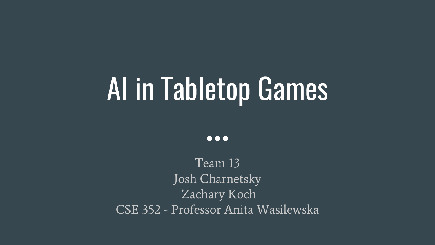# AI in Tabletop Games

 $\bullet\bullet\bullet$ 

Team 13 Josh Charnetsky Zachary Koch CSE 352 - Professor Anita Wasilewska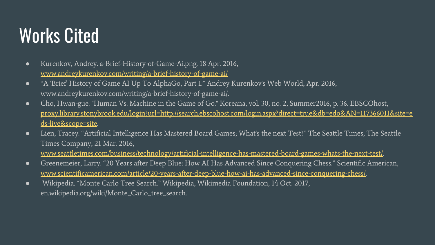# Works Cited

- Kurenkov, Andrey. a-Brief-History-of-Game-Ai.png. 18 Apr. 2016, [www.andreykurenkov.com/writing/a-brief-history-of-game-ai/](http://www.andreykurenkov.com/writing/a-brief-history-of-game-ai/)
- "A 'Brief' History of Game AI Up To AlphaGo, Part 1." Andrey Kurenkov's Web World, Apr. 2016, www.andreykurenkov.com/writing/a-brief-history-of-game-ai/.
- Cho, Hwan-gue. "Human Vs. Machine in the Game of Go." Koreana, vol. 30, no. 2, Summer2016, p. 36. EBSCOhost, [proxy.library.stonybrook.edu/login?url=http://search.ebscohost.com/login.aspx?direct=true&db=edo&AN=117366011&site=e](http://proxy.library.stonybrook.edu/login?url=http://search.ebscohost.com/login.aspx?direct=true&db=edo&AN=117366011&site=eds-live&scope=site) [ds-live&scope=site.](http://proxy.library.stonybrook.edu/login?url=http://search.ebscohost.com/login.aspx?direct=true&db=edo&AN=117366011&site=eds-live&scope=site)
- Lien, Tracey. "Artificial Intelligence Has Mastered Board Games; What's the next Test?" The Seattle Times, The Seattle Times Company, 21 Mar. 2016,

[www.seattletimes.com/business/technology/artificial-intelligence-has-mastered-board-games-whats-the-next-test/.](http://www.seattletimes.com/business/technology/artificial-intelligence-has-mastered-board-games-whats-the-next-test/)

- Greenemeier, Larry. "20 Years after Deep Blue: How AI Has Advanced Since Conquering Chess." Scientific American, [www.scientificamerican.com/article/20-years-after-deep-blue-how-ai-has-advanced-since-conquering-chess/](http://www.scientificamerican.com/article/20-years-after-deep-blue-how-ai-has-advanced-since-conquering-chess/).
- Wikipedia. "Monte Carlo Tree Search." Wikipedia, Wikimedia Foundation, 14 Oct. 2017, en.wikipedia.org/wiki/Monte\_Carlo\_tree\_search.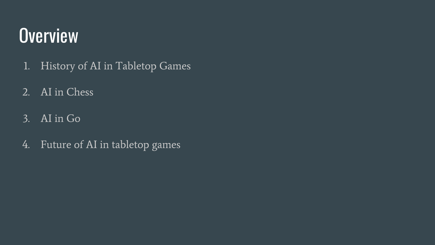# **Overview**

- 1. History of AI in Tabletop Games
- 2. AI in Chess
- 3. AI in Go
- 4. Future of AI in tabletop games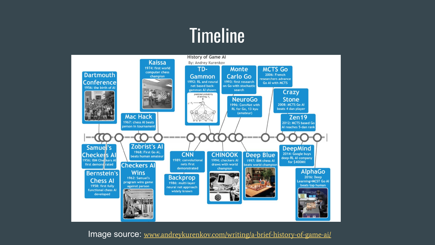## **Timeline**



Image source: [www.andreykurenkov.com/writing/a-brief-history-of-game-ai/](http://www.andreykurenkov.com/writing/a-brief-history-of-game-ai/)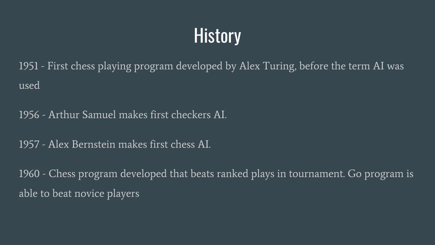# **History**

1951 - First chess playing program developed by Alex Turing, before the term AI was used

1956 - Arthur Samuel makes first checkers AI.

1957 - Alex Bernstein makes first chess AI.

1960 - Chess program developed that beats ranked plays in tournament. Go program is able to beat novice players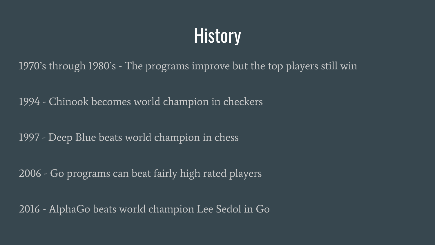# **History**

1970's through 1980's - The programs improve but the top players still win

1994 - Chinook becomes world champion in checkers

1997 - Deep Blue beats world champion in chess

2006 - Go programs can beat fairly high rated players

2016 - AlphaGo beats world champion Lee Sedol in Go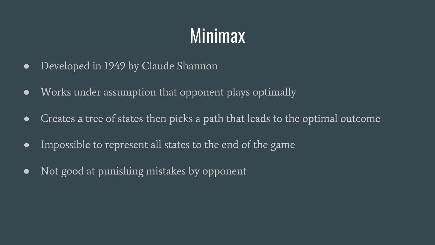# Minimax

- Developed in 1949 by Claude Shannon
- Works under assumption that opponent plays optimally
- Creates a tree of states then picks a path that leads to the optimal outcome
- Impossible to represent all states to the end of the game
- Not good at punishing mistakes by opponent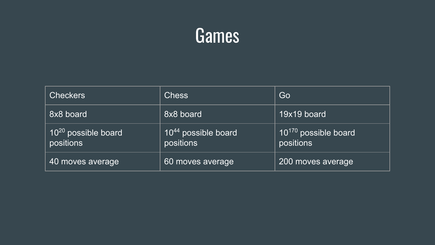#### Games

| <b>Checkers</b>                              | <b>Chess</b>                                 | Go                                     |
|----------------------------------------------|----------------------------------------------|----------------------------------------|
| 8x8 board                                    | 8x8 board                                    | 19x19 board                            |
| 10 <sup>20</sup> possible board<br>positions | 10 <sup>44</sup> possible board<br>positions | $10^{170}$ possible board<br>positions |
| 40 moves average                             | 60 moves average                             | 200 moves average                      |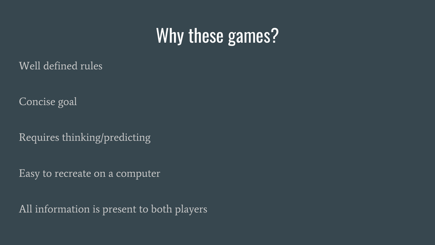## Why these games?

Well defined rules

Concise goal

Requires thinking/predicting

Easy to recreate on a computer

All information is present to both players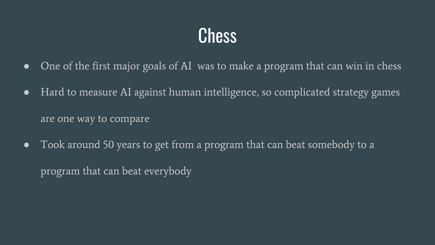## **Chess**

- One of the first major goals of AI was to make a program that can win in chess
- Hard to measure AI against human intelligence, so complicated strategy games are one way to compare
- Took around 50 years to get from a program that can beat somebody to a program that can beat everybody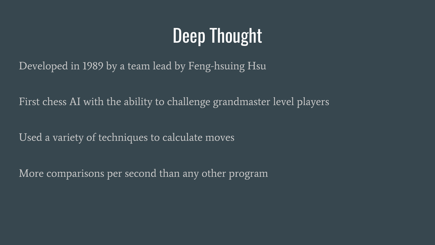# Deep Thought

Developed in 1989 by a team lead by Feng-hsuing Hsu

First chess AI with the ability to challenge grandmaster level players

Used a variety of techniques to calculate moves

More comparisons per second than any other program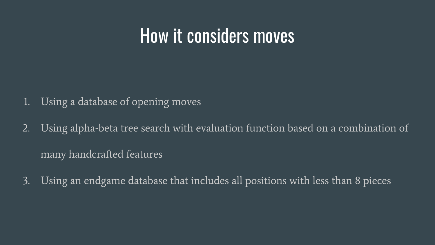#### How it considers moves

- 1. Using a database of opening moves
- 2. Using alpha-beta tree search with evaluation function based on a combination of many handcrafted features
- 3. Using an endgame database that includes all positions with less than 8 pieces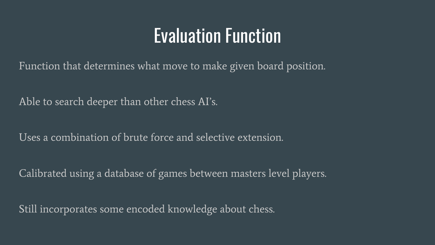#### Evaluation Function

Function that determines what move to make given board position.

Able to search deeper than other chess AI's.

Uses a combination of brute force and selective extension.

Calibrated using a database of games between masters level players.

Still incorporates some encoded knowledge about chess.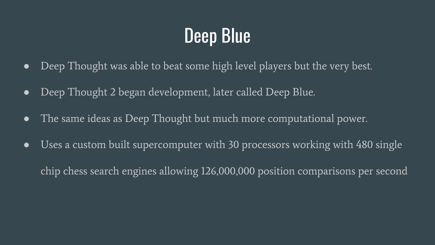# Deep Blue

- Deep Thought was able to beat some high level players but the very best.
- Deep Thought 2 began development, later called Deep Blue.
- The same ideas as Deep Thought but much more computational power.
- Uses a custom built supercomputer with 30 processors working with 480 single chip chess search engines allowing 126,000,000 position comparisons per second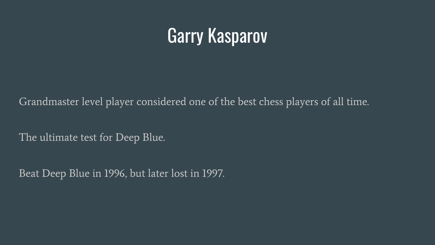# Garry Kasparov

Grandmaster level player considered one of the best chess players of all time.

The ultimate test for Deep Blue.

Beat Deep Blue in 1996, but later lost in 1997.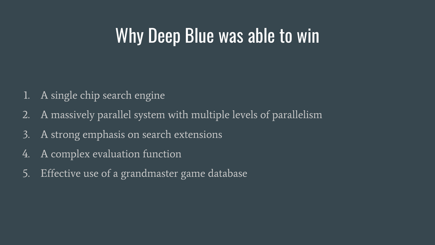### Why Deep Blue was able to win

- 1. A single chip search engine
- 2. A massively parallel system with multiple levels of parallelism
- 3. A strong emphasis on search extensions
- 4. A complex evaluation function
- 5. Effective use of a grandmaster game database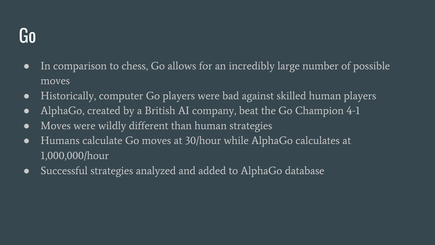#### Go

- In comparison to chess, Go allows for an incredibly large number of possible moves
- Historically, computer Go players were bad against skilled human players
- AlphaGo, created by a British AI company, beat the Go Champion 4-1
- Moves were wildly different than human strategies
- Humans calculate Go moves at 30/hour while AlphaGo calculates at 1,000,000/hour
- Successful strategies analyzed and added to AlphaGo database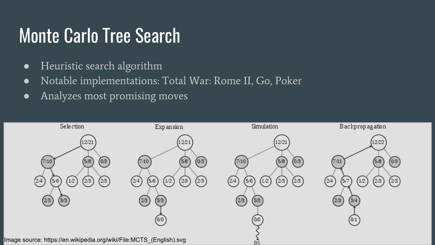## Monte Carlo Tree Search

- Heuristic search algorithm
- Notable implementations: Total War: Rome II, Go, Poker
- Analyzes most promising moves

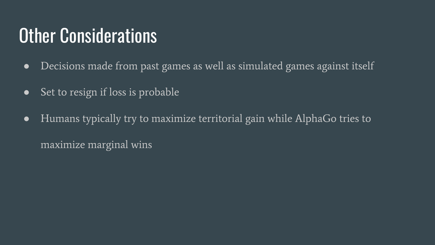# Other Considerations

- Decisions made from past games as well as simulated games against itself
- Set to resign if loss is probable
- Humans typically try to maximize territorial gain while AlphaGo tries to maximize marginal wins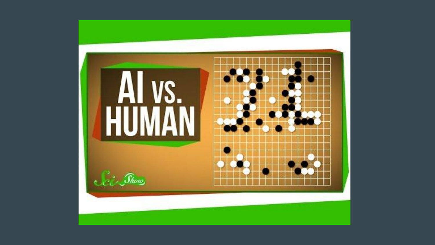